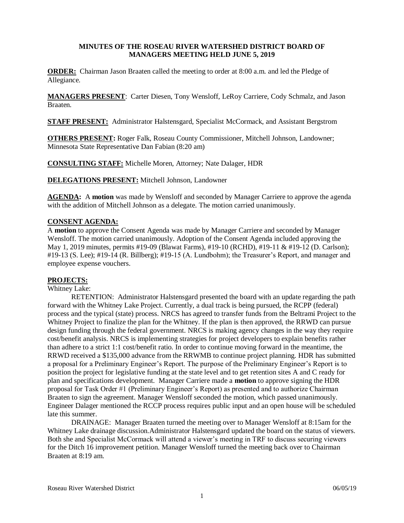## **MINUTES OF THE ROSEAU RIVER WATERSHED DISTRICT BOARD OF MANAGERS MEETING HELD JUNE 5, 2019**

**ORDER:** Chairman Jason Braaten called the meeting to order at 8:00 a.m. and led the Pledge of Allegiance.

**MANAGERS PRESENT**: Carter Diesen, Tony Wensloff, LeRoy Carriere, Cody Schmalz, and Jason Braaten.

**STAFF PRESENT:** Administrator Halstensgard, Specialist McCormack, and Assistant Bergstrom

**OTHERS PRESENT:** Roger Falk, Roseau County Commissioner, Mitchell Johnson, Landowner; Minnesota State Representative Dan Fabian (8:20 am)

**CONSULTING STAFF:** Michelle Moren, Attorney; Nate Dalager, HDR

**DELEGATIONS PRESENT:** Mitchell Johnson, Landowner

**AGENDA:** A **motion** was made by Wensloff and seconded by Manager Carriere to approve the agenda with the addition of Mitchell Johnson as a delegate. The motion carried unanimously.

#### **CONSENT AGENDA:**

A **motion** to approve the Consent Agenda was made by Manager Carriere and seconded by Manager Wensloff. The motion carried unanimously. Adoption of the Consent Agenda included approving the May 1, 2019 minutes, permits #19-09 (Blawat Farms), #19-10 (RCHD), #19-11 & #19-12 (D. Carlson); #19-13 (S. Lee); #19-14 (R. Billberg); #19-15 (A. Lundbohm); the Treasurer's Report, and manager and employee expense vouchers.

#### **PROJECTS:**

#### Whitney Lake:

RETENTION: Administrator Halstensgard presented the board with an update regarding the path forward with the Whitney Lake Project. Currently, a dual track is being pursued, the RCPP (federal) process and the typical (state) process. NRCS has agreed to transfer funds from the Beltrami Project to the Whitney Project to finalize the plan for the Whitney. If the plan is then approved, the RRWD can pursue design funding through the federal government. NRCS is making agency changes in the way they require cost/benefit analysis. NRCS is implementing strategies for project developers to explain benefits rather than adhere to a strict 1:1 cost/benefit ratio. In order to continue moving forward in the meantime, the RRWD received a \$135,000 advance from the RRWMB to continue project planning. HDR has submitted a proposal for a Preliminary Engineer's Report. The purpose of the Preliminary Engineer's Report is to position the project for legislative funding at the state level and to get retention sites A and C ready for plan and specifications development. Manager Carriere made a **motion** to approve signing the HDR proposal for Task Order #1 (Preliminary Engineer's Report) as presented and to authorize Chairman Braaten to sign the agreement. Manager Wensloff seconded the motion, which passed unanimously. Engineer Dalager mentioned the RCCP process requires public input and an open house will be scheduled late this summer.

DRAINAGE: Manager Braaten turned the meeting over to Manager Wensloff at 8:15am for the Whitney Lake drainage discussion.Administrator Halstensgard updated the board on the status of viewers. Both she and Specialist McCormack will attend a viewer's meeting in TRF to discuss securing viewers for the Ditch 16 improvement petition. Manager Wensloff turned the meeting back over to Chairman Braaten at 8:19 am.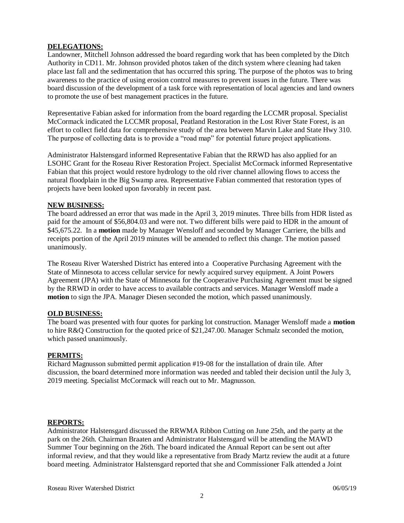## **DELEGATIONS:**

Landowner, Mitchell Johnson addressed the board regarding work that has been completed by the Ditch Authority in CD11. Mr. Johnson provided photos taken of the ditch system where cleaning had taken place last fall and the sedimentation that has occurred this spring. The purpose of the photos was to bring awareness to the practice of using erosion control measures to prevent issues in the future. There was board discussion of the development of a task force with representation of local agencies and land owners to promote the use of best management practices in the future.

Representative Fabian asked for information from the board regarding the LCCMR proposal. Specialist McCormack indicated the LCCMR proposal, Peatland Restoration in the Lost River State Forest, is an effort to collect field data for comprehensive study of the area between Marvin Lake and State Hwy 310. The purpose of collecting data is to provide a "road map" for potential future project applications.

Administrator Halstensgard informed Representative Fabian that the RRWD has also applied for an LSOHC Grant for the Roseau River Restoration Project. Specialist McCormack informed Representative Fabian that this project would restore hydrology to the old river channel allowing flows to access the natural floodplain in the Big Swamp area. Representative Fabian commented that restoration types of projects have been looked upon favorably in recent past.

## **NEW BUSINESS:**

The board addressed an error that was made in the April 3, 2019 minutes. Three bills from HDR listed as paid for the amount of \$56,804.03 and were not. Two different bills were paid to HDR in the amount of \$45,675.22. In a **motion** made by Manager Wensloff and seconded by Manager Carriere, the bills and receipts portion of the April 2019 minutes will be amended to reflect this change. The motion passed unanimously.

The Roseau River Watershed District has entered into a Cooperative Purchasing Agreement with the State of Minnesota to access cellular service for newly acquired survey equipment. A Joint Powers Agreement (JPA) with the State of Minnesota for the Cooperative Purchasing Agreement must be signed by the RRWD in order to have access to available contracts and services. Manager Wensloff made a **motion** to sign the JPA. Manager Diesen seconded the motion, which passed unanimously.

## **OLD BUSINESS:**

The board was presented with four quotes for parking lot construction. Manager Wensloff made a **motion** to hire R&Q Construction for the quoted price of \$21,247.00. Manager Schmalz seconded the motion, which passed unanimously.

## **PERMITS:**

Richard Magnusson submitted permit application #19-08 for the installation of drain tile. After discussion, the board determined more information was needed and tabled their decision until the July 3, 2019 meeting. Specialist McCormack will reach out to Mr. Magnusson.

## **REPORTS:**

Administrator Halstensgard discussed the RRWMA Ribbon Cutting on June 25th, and the party at the park on the 26th. Chairman Braaten and Administrator Halstensgard will be attending the MAWD Summer Tour beginning on the 26th. The board indicated the Annual Report can be sent out after informal review, and that they would like a representative from Brady Martz review the audit at a future board meeting. Administrator Halstensgard reported that she and Commissioner Falk attended a Joint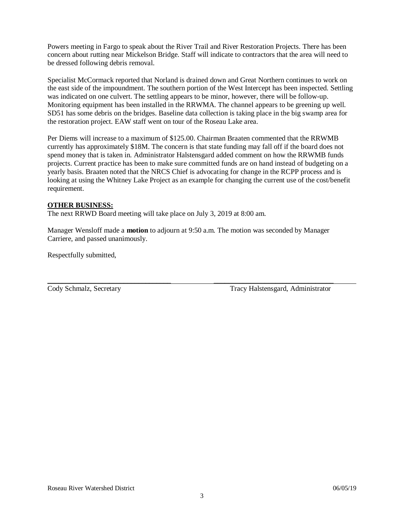Powers meeting in Fargo to speak about the River Trail and River Restoration Projects. There has been concern about rutting near Mickelson Bridge. Staff will indicate to contractors that the area will need to be dressed following debris removal.

Specialist McCormack reported that Norland is drained down and Great Northern continues to work on the east side of the impoundment. The southern portion of the West Intercept has been inspected. Settling was indicated on one culvert. The settling appears to be minor, however, there will be follow-up. Monitoring equipment has been installed in the RRWMA. The channel appears to be greening up well. SD51 has some debris on the bridges. Baseline data collection is taking place in the big swamp area for the restoration project. EAW staff went on tour of the Roseau Lake area.

Per Diems will increase to a maximum of \$125.00. Chairman Braaten commented that the RRWMB currently has approximately \$18M. The concern is that state funding may fall off if the board does not spend money that is taken in. Administrator Halstensgard added comment on how the RRWMB funds projects. Current practice has been to make sure committed funds are on hand instead of budgeting on a yearly basis. Braaten noted that the NRCS Chief is advocating for change in the RCPP process and is looking at using the Whitney Lake Project as an example for changing the current use of the cost/benefit requirement.

## **OTHER BUSINESS:**

The next RRWD Board meeting will take place on July 3, 2019 at 8:00 am.

Manager Wensloff made a **motion** to adjourn at 9:50 a.m. The motion was seconded by Manager Carriere, and passed unanimously.

\_\_\_\_\_\_\_\_\_\_\_\_\_\_\_\_\_\_\_\_\_\_\_\_\_\_\_\_\_\_\_\_\_\_ \_\_\_\_\_\_\_\_\_\_\_\_\_\_\_\_\_\_\_\_\_\_\_\_\_\_\_\_\_\_\_\_\_

Respectfully submitted,

Cody Schmalz, Secretary Tracy Halstensgard, Administrator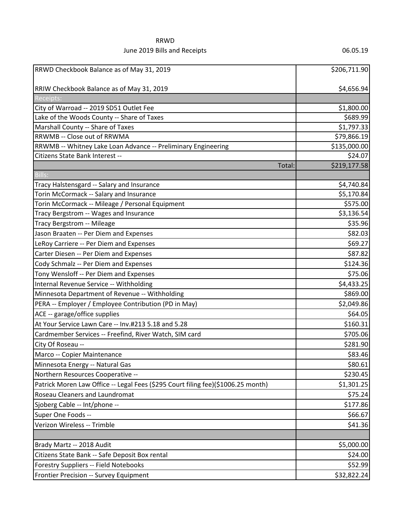# RRWD June 2019 Bills and Receipts 06.05.19

| RRWD Checkbook Balance as of May 31, 2019                                        | \$206,711.90 |
|----------------------------------------------------------------------------------|--------------|
| RRIW Checkbook Balance as of May 31, 2019                                        | \$4,656.94   |
| Receipts:                                                                        |              |
| City of Warroad -- 2019 SD51 Outlet Fee                                          | \$1,800.00   |
| Lake of the Woods County -- Share of Taxes                                       | \$689.99     |
| Marshall County -- Share of Taxes                                                | \$1,797.33   |
| RRWMB -- Close out of RRWMA                                                      | \$79,866.19  |
| RRWMB -- Whitney Lake Loan Advance -- Preliminary Engineering                    | \$135,000.00 |
| Citizens State Bank Interest --                                                  | \$24.07      |
| Total:                                                                           | \$219,177.58 |
| Bills:                                                                           |              |
| Tracy Halstensgard -- Salary and Insurance                                       | \$4,740.84   |
| Torin McCormack -- Salary and Insurance                                          | \$5,170.84   |
| Torin McCormack -- Mileage / Personal Equipment                                  | \$575.00     |
| Tracy Bergstrom -- Wages and Insurance                                           | \$3,136.54   |
| Tracy Bergstrom -- Mileage                                                       | \$35.96      |
| Jason Braaten -- Per Diem and Expenses                                           | \$82.03      |
| LeRoy Carriere -- Per Diem and Expenses                                          | \$69.27      |
| Carter Diesen -- Per Diem and Expenses                                           | \$87.82      |
| Cody Schmalz -- Per Diem and Expenses                                            | \$124.36     |
| Tony Wensloff -- Per Diem and Expenses                                           | \$75.06      |
| Internal Revenue Service -- Withholding                                          | \$4,433.25   |
| Minnesota Department of Revenue -- Withholding                                   | \$869.00     |
| PERA -- Employer / Employee Contribution (PD in May)                             | \$2,049.86   |
| ACE -- garage/office supplies                                                    | \$64.05      |
| At Your Service Lawn Care -- Inv.#213 5.18 and 5.28                              | \$160.31     |
| Cardmember Services -- Freefind, River Watch, SIM card                           | \$705.06     |
| City Of Roseau --                                                                | \$281.90     |
| Marco -- Copier Maintenance                                                      | \$83.46      |
| Minnesota Energy -- Natural Gas                                                  | \$80.61      |
| Northern Resources Cooperative --                                                | \$230.45     |
| Patrick Moren Law Office -- Legal Fees (\$295 Court filing fee)(\$1006.25 month) | \$1,301.25   |
| Roseau Cleaners and Laundromat                                                   | \$75.24      |
| Sjoberg Cable -- Int/phone --                                                    | \$177.86     |
| Super One Foods --                                                               | \$66.67      |
| Verizon Wireless -- Trimble                                                      | \$41.36      |
|                                                                                  |              |
| Brady Martz -- 2018 Audit                                                        | \$5,000.00   |
| Citizens State Bank -- Safe Deposit Box rental                                   | \$24.00      |
| Forestry Suppliers -- Field Notebooks                                            | \$52.99      |
| Frontier Precision -- Survey Equipment                                           | \$32,822.24  |